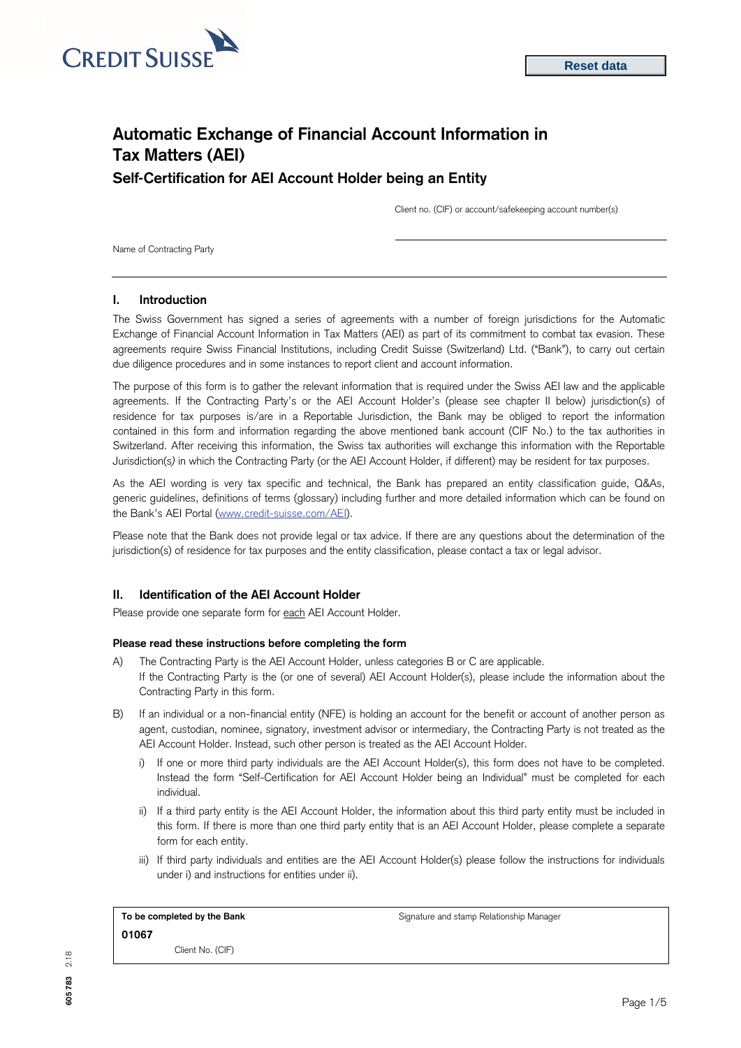

# **Automatic Exchange of Financial Account Information in Tax Matters (AEI) Self-Certification for AEI Account Holder being an Entity**

Client no. (CIF) or account/safekeeping account number(s)

Name of Contracting Party

## **I. Introduction**

The Swiss Government has signed a series of agreements with a number of foreign jurisdictions for the Automatic Exchange of Financial Account Information in Tax Matters (AEI) as part of its commitment to combat tax evasion. These agreements require Swiss Financial Institutions, including Credit Suisse (Switzerland) Ltd. ("Bank"), to carry out certain due diligence procedures and in some instances to report client and account information.

The purpose of this form is to gather the relevant information that is required under the Swiss AEI law and the applicable agreements. If the Contracting Party's or the AEI Account Holder's (please see chapter II below) jurisdiction(s) of residence for tax purposes is/are in a Reportable Jurisdiction, the Bank may be obliged to report the information contained in this form and information regarding the above mentioned bank account (CIF No.) to the tax authorities in Switzerland. After receiving this information, the Swiss tax authorities will exchange this information with the Reportable Jurisdiction(s*)* in which the Contracting Party (or the AEI Account Holder, if different) may be resident for tax purposes.

As the AEI wording is very tax specific and technical, the Bank has prepared an entity classification guide, Q&As, generic guidelines, definitions of terms (glossary) including further and more detailed information which can be found on the Bank's AEI Portal [\(www.credit-suisse.com/AEI\).](http://www.credit-suisse.com/AEI)

Please note that the Bank does not provide legal or tax advice. If there are any questions about the determination of the jurisdiction(s) of residence for tax purposes and the entity classification, please contact a tax or legal advisor.

# **II. Identification of the AEI Account Holder**

Please provide one separate form for each AEI Account Holder.

## **Please read these instructions before completing the form**

- A) The Contracting Party is the AEI Account Holder, unless categories B or C are applicable. If the Contracting Party is the (or one of several) AEI Account Holder(s), please include the information about the Contracting Party in this form.
- B) If an individual or a non-financial entity (NFE) is holding an account for the benefit or account of another person as agent, custodian, nominee, signatory, investment advisor or intermediary, the Contracting Party is not treated as the AEI Account Holder. Instead, such other person is treated as the AEI Account Holder.
	- i) If one or more third party individuals are the AEI Account Holder(s), this form does not have to be completed. Instead the form "Self-Certification for AEI Account Holder being an Individual" must be completed for each individual.
	- ii) If a third party entity is the AEI Account Holder, the information about this third party entity must be included in this form. If there is more than one third party entity that is an AEI Account Holder, please complete a separate form for each entity.
	- iii) If third party individuals and entities are the AEI Account Holder(s) please follow the instructions for individuals under i) and instructions for entities under ii).

| To be completed by the Bank | Signature and stamp Relationship Manager |  |  |  |  |
|-----------------------------|------------------------------------------|--|--|--|--|
| 01067                       |                                          |  |  |  |  |
| Client No. (CIF)            |                                          |  |  |  |  |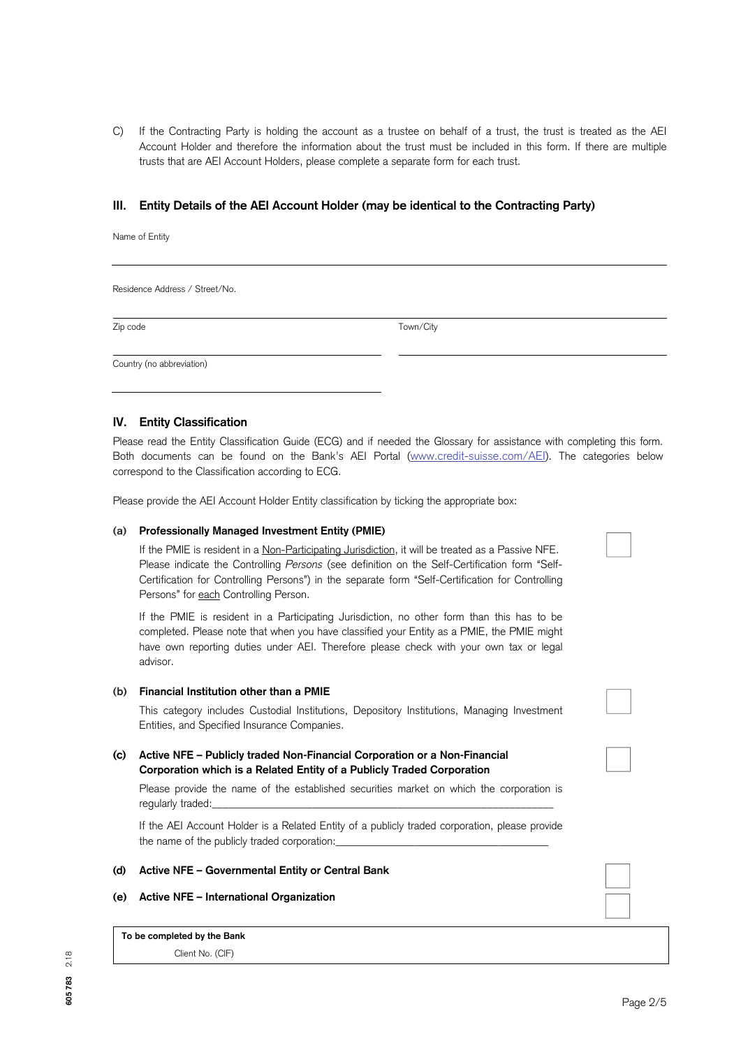C) If the Contracting Party is holding the account as a trustee on behalf of a trust, the trust is treated as the AEI Account Holder and therefore the information about the trust must be included in this form. If there are multiple trusts that are AEI Account Holders, please complete a separate form for each trust.

## **III. Entity Details of the AEI Account Holder (may be identical to the Contracting Party)**

Name of Entity

Residence Address / Street/No.

Zip code Town/City

Country (no abbreviation)

## **IV. Entity Classification**

Please read the Entity Classification Guide (ECG) and if needed the Glossary for assistance with completing this form. Both documents can be found on the Bank's AEI Portal [\(www.credit-suisse.com/AEI\).](http://www.credit-suisse.com/AEI) The categories below correspond to the Classification according to ECG.

Please provide the AEI Account Holder Entity classification by ticking the appropriate box:

#### **(a) Professionally Managed Investment Entity (PMIE)**

If the PMIE is resident in a Non-Participating Jurisdiction, it will be treated as a Passive NFE. Please indicate the Controlling *Persons* (see definition on the Self-Certification form "Self-Certification for Controlling Persons") in the separate form "Self-Certification for Controlling Persons" for each Controlling Person.

If the PMIE is resident in a Participating Jurisdiction, no other form than this has to be completed. Please note that when you have classified your Entity as a PMIE, the PMIE might have own reporting duties under AEI. Therefore please check with your own tax or legal advisor.

#### **(b) Financial Institution other than a PMIE**

This category includes Custodial Institutions, Depository Institutions, Managing Investment Entities, and Specified Insurance Companies.

## **(c) Active NFE – Publicly traded Non-Financial Corporation or a Non-Financial Corporation which is a Related Entity of a Publicly Traded Corporation**

Please provide the name of the established securities market on which the corporation is regularly traded:

If the AEI Account Holder is a Related Entity of a publicly traded corporation, please provide the name of the publicly traded corporation:

#### **(d) Active NFE – Governmental Entity or Central Bank**

## **(e) Active NFE – International Organization**

**To be completed by the Bank** Client No. (CIF)

**605 783** 2.18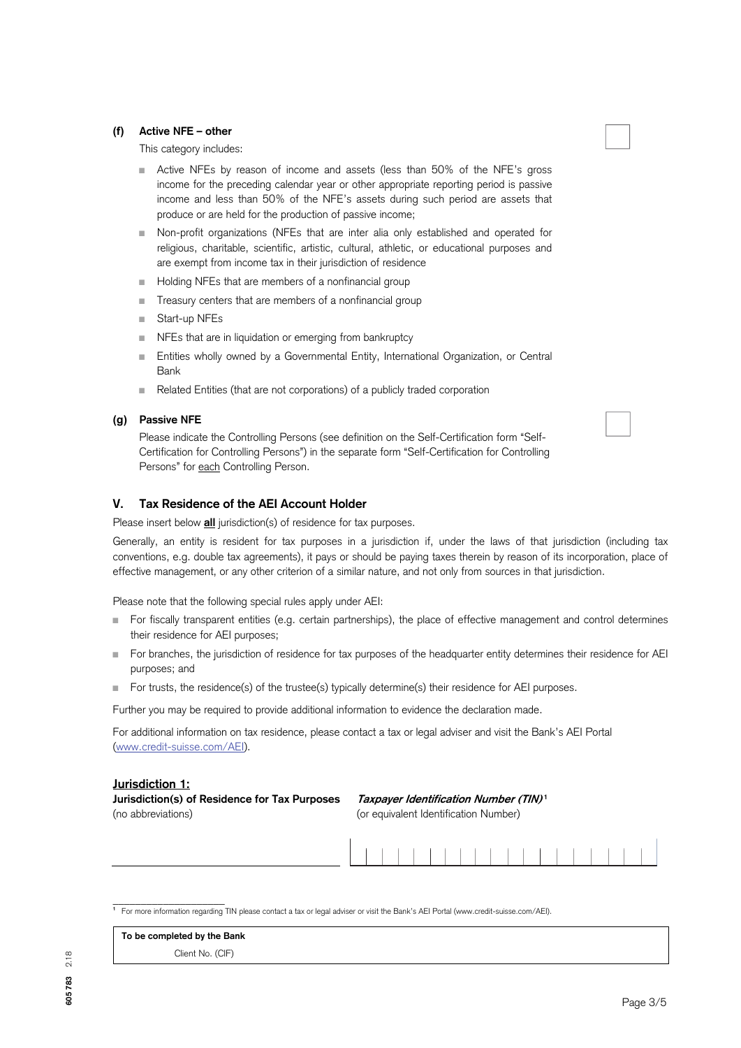## **(f) Active NFE – other**

This category includes:

- Active NFEs by reason of income and assets (less than 50% of the NFE's gross income for the preceding calendar year or other appropriate reporting period is passive income and less than 50% of the NFE's assets during such period are assets that produce or are held for the production of passive income;
- Non-profit organizations (NFEs that are inter alia only established and operated for religious, charitable, scientific, artistic, cultural, athletic, or educational purposes and are exempt from income tax in their jurisdiction of residence
- Holding NFEs that are members of a nonfinancial group
- Treasury centers that are members of a nonfinancial group
- Start-up NFEs
- NFEs that are in liquidation or emerging from bankruptcy
- Entities wholly owned by a Governmental Entity, International Organization, or Central Bank
- Related Entities (that are not corporations) of a publicly traded corporation

#### **(g) Passive NFE**

Please indicate the Controlling Persons (see definition on the Self-Certification form "Self-Certification for Controlling Persons") in the separate form "Self-Certification for Controlling Persons" for each Controlling Person.

## **V. Tax Residence of the AEI Account Holder**

Please insert below **all** jurisdiction(s) of residence for tax purposes.

Generally, an entity is resident for tax purposes in a jurisdiction if, under the laws of that jurisdiction (including tax conventions, e.g. double tax agreements), it pays or should be paying taxes therein by reason of its incorporation, place of effective management, or any other criterion of a similar nature, and not only from sources in that jurisdiction.

Please note that the following special rules apply under AEI:

- For fiscally transparent entities (e.g. certain partnerships), the place of effective management and control determines their residence for AEI purposes;
- For branches, the jurisdiction of residence for tax purposes of the headquarter entity determines their residence for AEI purposes; and
- For trusts, the residence(s) of the trustee(s) typically determine(s) their residence for AEI purposes.

Further you may be required to provide additional information to evidence the declaration made.

For additional information on tax residence, please contact a tax or legal adviser and visit the Bank's AEI Portal [\(www.credit-suisse.com/AEI\).](http://www.credit-suisse.com/AEI) 

## **Jurisdiction 1:**

**Jurisdiction(s) of Residence for Tax Purposes Taxpayer Identification Number (TIN)<sup>1</sup>** (no abbreviations) (or equivalent Identification Number)



| Client No. (CIF) |  |
|------------------|--|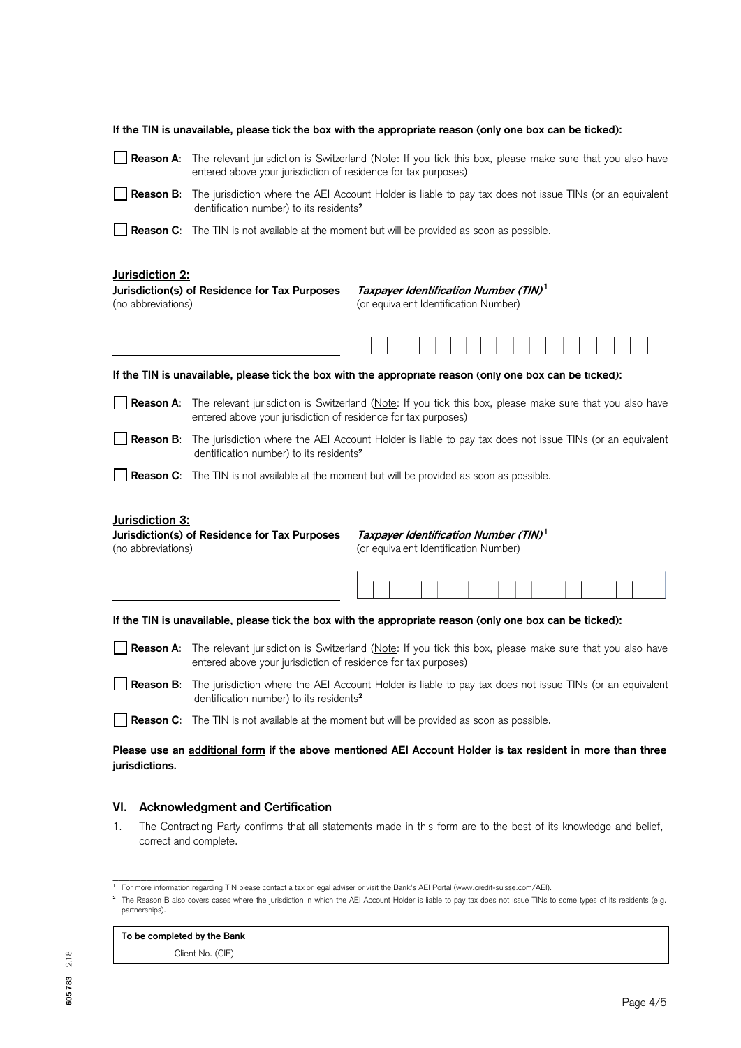|                                                                                        | If the TIN is unavailable, please tick the box with the appropriate reason (only one box can be ticked):                                                                              |                                                                                            |  |  |  |  |  |  |  |  |  |
|----------------------------------------------------------------------------------------|---------------------------------------------------------------------------------------------------------------------------------------------------------------------------------------|--------------------------------------------------------------------------------------------|--|--|--|--|--|--|--|--|--|
| Reason A:                                                                              | The relevant jurisdiction is Switzerland (Note: If you tick this box, please make sure that you also have<br>entered above your jurisdiction of residence for tax purposes)           |                                                                                            |  |  |  |  |  |  |  |  |  |
| Reason B:                                                                              | The jurisdiction where the AEI Account Holder is liable to pay tax does not issue TINs (or an equivalent<br>identification number) to its residents <sup>2</sup>                      |                                                                                            |  |  |  |  |  |  |  |  |  |
|                                                                                        | <b>Reason C:</b> The TIN is not available at the moment but will be provided as soon as possible.                                                                                     |                                                                                            |  |  |  |  |  |  |  |  |  |
| Jurisdiction 2:<br>Jurisdiction(s) of Residence for Tax Purposes<br>(no abbreviations) | Taxpayer Identification Number (TIN) <sup>1</sup><br>(or equivalent Identification Number)                                                                                            |                                                                                            |  |  |  |  |  |  |  |  |  |
|                                                                                        |                                                                                                                                                                                       |                                                                                            |  |  |  |  |  |  |  |  |  |
|                                                                                        | If the TIN is unavailable, please tick the box with the appropriate reason (only one box can be ticked):                                                                              |                                                                                            |  |  |  |  |  |  |  |  |  |
|                                                                                        | Reason A: The relevant jurisdiction is Switzerland (Note: If you tick this box, please make sure that you also have<br>entered above your jurisdiction of residence for tax purposes) |                                                                                            |  |  |  |  |  |  |  |  |  |
| Reason B:                                                                              | The jurisdiction where the AEI Account Holder is liable to pay tax does not issue TINs (or an equivalent<br>identification number) to its residents <sup>2</sup>                      |                                                                                            |  |  |  |  |  |  |  |  |  |
|                                                                                        | <b>Reason C:</b> The TIN is not available at the moment but will be provided as soon as possible.                                                                                     |                                                                                            |  |  |  |  |  |  |  |  |  |
| Jurisdiction 3:<br>(no abbreviations)                                                  | Jurisdiction(s) of Residence for Tax Purposes                                                                                                                                         | Taxpayer Identification Number (TIN) <sup>1</sup><br>(or equivalent Identification Number) |  |  |  |  |  |  |  |  |  |
|                                                                                        |                                                                                                                                                                                       |                                                                                            |  |  |  |  |  |  |  |  |  |
|                                                                                        | If the TIN is unavailable, please tick the box with the appropriate reason (only one box can be ticked):                                                                              |                                                                                            |  |  |  |  |  |  |  |  |  |
| Reason A:                                                                              | The relevant jurisdiction is Switzerland (Note: If you tick this box, please make sure that you also have<br>entered above your jurisdiction of residence for tax purposes)           |                                                                                            |  |  |  |  |  |  |  |  |  |
|                                                                                        | Reason B: The jurisdiction where the AEI Account Holder is liable to pay tax does not issue TINs (or an equivalent<br>identification number) to its residents <sup>2</sup>            |                                                                                            |  |  |  |  |  |  |  |  |  |
|                                                                                        | <b>Reason C:</b> The TIN is not available at the moment but will be provided as soon as possible.                                                                                     |                                                                                            |  |  |  |  |  |  |  |  |  |
| jurisdictions.                                                                         | Please use an additional form if the above mentioned AEI Account Holder is tax resident in more than three                                                                            |                                                                                            |  |  |  |  |  |  |  |  |  |
| VI.                                                                                    | <b>Acknowledgment and Certification</b>                                                                                                                                               |                                                                                            |  |  |  |  |  |  |  |  |  |
| 1.                                                                                     | The Contracting Party confirms that all statements made in this form are to the best of its knowledge and belief,<br>correct and complete.                                            |                                                                                            |  |  |  |  |  |  |  |  |  |

## **To be completed by the Bank**

Client No. (CIF)

\_\_\_\_\_\_\_\_\_\_\_\_\_\_\_\_\_\_ **1** For more information regarding TIN please contact a tax or legal adviser or visit the Bank's AEI Portal (www.credit-suisse.com/AEI).

**<sup>2</sup>** The Reason B also covers cases where the jurisdiction in which the AEI Account Holder is liable to pay tax does not issue TINs to some types of its residents (e.g. partnerships).